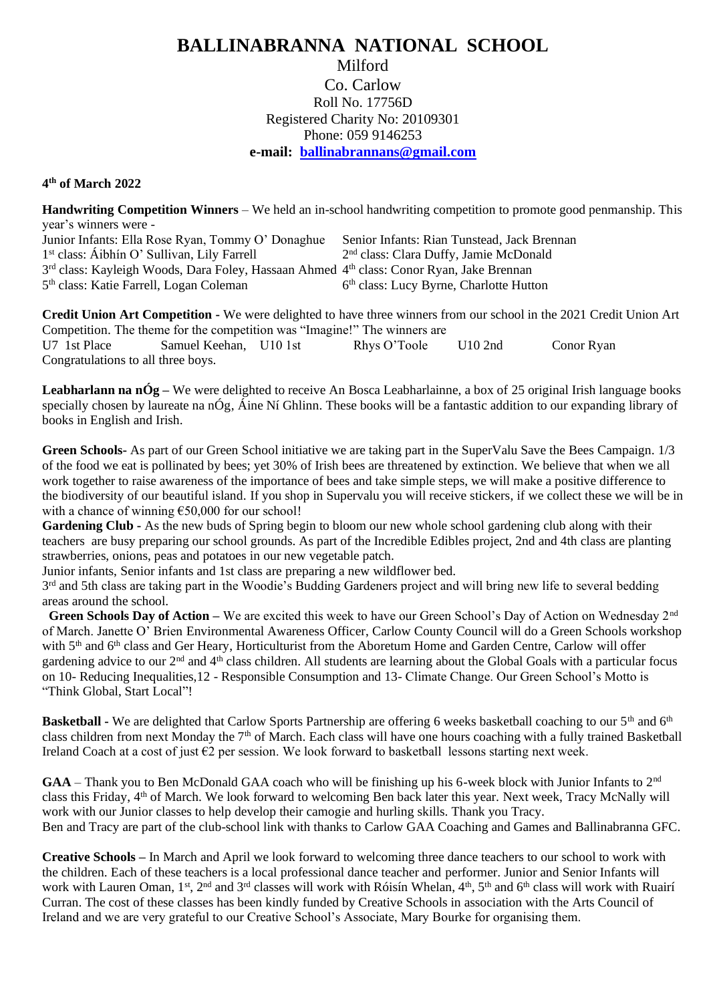## **BALLINABRANNA NATIONAL SCHOOL** Milford Co. Carlow Roll No. 17756D Registered Charity No: 20109301 Phone: 059 9146253

## **e-mail: [ballinabrannans@gmail.com](mailto:ballinabrannans@gmail.com)**

## **4 th of March 2022**

**Handwriting Competition Winners** – We held an in-school handwriting competition to promote good penmanship. This year's winners were -

Junior Infants: Ella Rose Ryan, Tommy O' Donaghue Senior Infants: Rian Tunstead, Jack Brennan 1 st class: Áibhín O' Sullivan, Lily Farrell 2 2<sup>nd</sup> class: Clara Duffy, Jamie McDonald 3<sup>rd</sup> class: Kayleigh Woods, Dara Foley, Hassaan Ahmed 4<sup>th</sup> class: Conor Ryan, Jake Brennan 5 th class: Katie Farrell, Logan Coleman 6 6<sup>th</sup> class: Lucy Byrne, Charlotte Hutton

**Credit Union Art Competition -** We were delighted to have three winners from our school in the 2021 Credit Union Art Competition. The theme for the competition was "Imagine!" The winners are U7 1st Place Samuel Keehan, U10 1st Rhys O'Toole U10 2nd Conor Ryan Congratulations to all three boys.

**Leabharlann na nÓg –** We were delighted to receive An Bosca Leabharlainne, a box of 25 original Irish language books specially chosen by laureate na nÓg, Áine Ní Ghlinn. These books will be a fantastic addition to our expanding library of books in English and Irish.

**Green Schools-** As part of our Green School initiative we are taking part in the SuperValu Save the Bees Campaign. 1/3 of the food we eat is pollinated by bees; yet 30% of Irish bees are threatened by extinction. We believe that when we all work together to raise awareness of the importance of bees and take simple steps, we will make a positive difference to the biodiversity of our beautiful island. If you shop in Supervalu you will receive stickers, if we collect these we will be in with a chance of winning  $£50,000$  for our school!

**Gardening Club -** As the new buds of Spring begin to bloom our new whole school gardening club along with their teachers are busy preparing our school grounds. As part of the Incredible Edibles project, 2nd and 4th class are planting strawberries, onions, peas and potatoes in our new vegetable patch.

Junior infants, Senior infants and 1st class are preparing a new wildflower bed.

3<sup>rd</sup> and 5th class are taking part in the Woodie's Budding Gardeners project and will bring new life to several bedding areas around the school.

 **Green Schools Day of Action –** We are excited this week to have our Green School's Day of Action on Wednesday 2nd of March. Janette O' Brien Environmental Awareness Officer, Carlow County Council will do a Green Schools workshop with 5<sup>th</sup> and 6<sup>th</sup> class and Ger Heary, Horticulturist from the Aboretum Home and Garden Centre, Carlow will offer gardening advice to our 2<sup>nd</sup> and 4<sup>th</sup> class children. All students are learning about the Global Goals with a particular focus on 10- Reducing Inequalities,12 - Responsible Consumption and 13- Climate Change. Our Green School's Motto is "Think Global, Start Local"!

**Basketball -** We are delighted that Carlow Sports Partnership are offering 6 weeks basketball coaching to our 5<sup>th</sup> and 6<sup>th</sup> class children from next Monday the 7<sup>th</sup> of March. Each class will have one hours coaching with a fully trained Basketball Ireland Coach at a cost of just  $\epsilon_2$  per session. We look forward to basketball lessons starting next week.

**GAA** – Thank you to Ben McDonald GAA coach who will be finishing up his 6-week block with Junior Infants to 2nd class this Friday, 4th of March. We look forward to welcoming Ben back later this year. Next week, Tracy McNally will work with our Junior classes to help develop their camogie and hurling skills. Thank you Tracy. Ben and Tracy are part of the club-school link with thanks to Carlow GAA Coaching and Games and Ballinabranna GFC.

**Creative Schools –** In March and April we look forward to welcoming three dance teachers to our school to work with the children. Each of these teachers is a local professional dance teacher and performer. Junior and Senior Infants will work with Lauren Oman, 1<sup>st</sup>, 2<sup>nd</sup> and 3<sup>rd</sup> classes will work with Róisín Whelan, 4<sup>th</sup>, 5<sup>th</sup> and 6<sup>th</sup> class will work with Ruairí Curran. The cost of these classes has been kindly funded by Creative Schools in association with the Arts Council of Ireland and we are very grateful to our Creative School's Associate, Mary Bourke for organising them.